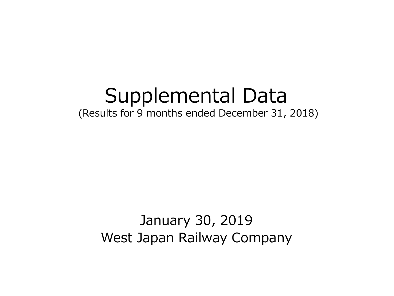# Supplemental Data (Results for 9 months ended December 31, 2018)

## January 30, 2019 West Japan Railway Company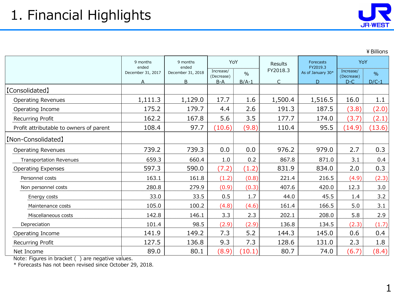¥Billions

|                                         | 9 months               | 9 months<br>ended<br>ended |                                  | YoY                      | Results                  | Forecasts<br>FY2019.3  | YoY                              |                          |
|-----------------------------------------|------------------------|----------------------------|----------------------------------|--------------------------|--------------------------|------------------------|----------------------------------|--------------------------|
|                                         | December 31, 2017<br>A | December 31, 2018<br>B     | Increase/<br>(Decrease)<br>$B-A$ | $\frac{0}{0}$<br>$B/A-1$ | FY2018.3<br>$\mathsf{C}$ | As of January 30*<br>D | Increase/<br>(Decrease)<br>$D-C$ | $\frac{0}{0}$<br>$D/C-1$ |
| [Consolidated]                          |                        |                            |                                  |                          |                          |                        |                                  |                          |
| <b>Operating Revenues</b>               | 1,111.3                | 1,129.0                    | 17.7                             | 1.6                      | 1,500.4                  | 1,516.5                | 16.0                             | 1.1                      |
| Operating Income                        | 175.2                  | 179.7                      | 4.4                              | 2.6                      | 191.3                    | 187.5                  | (3.8)                            | (2.0)                    |
| Recurring Profit                        | 162.2                  | 167.8                      | 5.6                              | 3.5                      | 177.7                    | 174.0                  | (3.7)                            | (2.1)                    |
| Profit attributable to owners of parent | 108.4                  | 97.7                       | (10.6)                           | (9.8)                    | 110.4                    | 95.5                   | (14.9)                           | (13.6)                   |
| [Non-Consolidated]                      |                        |                            |                                  |                          |                          |                        |                                  |                          |
| <b>Operating Revenues</b>               | 739.2                  | 739.3                      | 0.0                              | 0.0                      | 976.2                    | 979.0                  | 2.7                              | 0.3                      |
| <b>Transportation Revenues</b>          | 659.3                  | 660.4                      | $1.0\,$                          | 0.2                      | 867.8                    | 871.0                  | 3.1                              | 0.4                      |
| <b>Operating Expenses</b>               | 597.3                  | 590.0                      | (7.2)                            | (1.2)                    | 831.9                    | 834.0                  | 2.0                              | 0.3                      |
| Personnel costs                         | 163.1                  | 161.8                      | (1.2)                            | (0.8)                    | 221.4                    | 216.5                  | (4.9)                            | (2.3)                    |
| Non personnel costs                     | 280.8                  | 279.9                      | (0.9)                            | (0.3)                    | 407.6                    | 420.0                  | 12.3                             | 3.0                      |
| Energy costs                            | 33.0                   | 33.5                       | 0.5                              | 1.7                      | 44.0                     | 45.5                   | 1.4                              | 3.2                      |
| Maintenance costs                       | 105.0                  | 100.2                      | (4.8)                            | (4.6)                    | 161.4                    | 166.5                  | 5.0                              | 3.1                      |
| Miscellaneous costs                     | 142.8                  | 146.1                      | 3.3                              | 2.3                      | 202.1                    | 208.0                  | 5.8                              | 2.9                      |
| Depreciation                            | 101.4                  | 98.5                       | (2.9)                            | (2.9)                    | 136.8                    | 134.5                  | (2.3)                            | (1.7)                    |
| Operating Income                        | 141.9                  | 149.2                      | 7.3                              | 5.2                      | 144.3                    | 145.0                  | 0.6                              | 0.4                      |
| Recurring Profit                        | 127.5                  | 136.8                      | 9.3                              | 7.3                      | 128.6                    | 131.0                  | 2.3                              | 1.8                      |
| Net Income                              | 89.0                   | 80.1                       | (8.9)                            | (10.1)                   | 80.7                     | 74.0                   | (6.7)                            | (8.4)                    |

Note: Figures in bracket ( ) are negative values.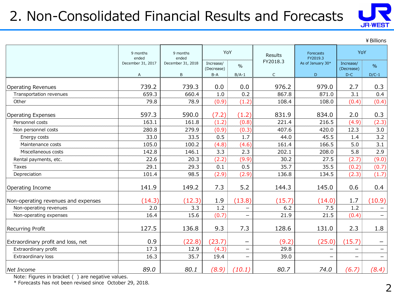### 2. Non-Consolidated Financial Results and Forecasts



¥Billions

|                                     | 9 months<br>ended | 9 months<br>ended | YoY                     |                                | Results     | Forecasts<br>FY2019.3 | YoY                      |                          |
|-------------------------------------|-------------------|-------------------|-------------------------|--------------------------------|-------------|-----------------------|--------------------------|--------------------------|
|                                     | December 31, 2017 | December 31, 2018 | Increase/<br>(Decrease) | $\%$                           | FY2018.3    | As of January 30*     | Increase/<br>(Decrease)  | $\%$                     |
|                                     | Α                 | B                 | $B-A$                   | $B/A-1$                        | $\mathsf C$ | D                     | $D-C$                    | $D/C-1$                  |
| <b>Operating Revenues</b>           | 739.2             | 739.3             | 0.0                     | 0.0                            | 976.2       | 979.0                 | 2.7                      | 0.3                      |
| Transportation revenues             | 659.3             | 660.4             | 1.0                     | 0.2                            | 867.8       | 871.0                 | 3.1                      | 0.4                      |
| Other                               | 79.8              | 78.9              | (0.9)                   | (1.2)                          | 108.4       | 108.0                 | (0.4)                    | (0.4)                    |
| <b>Operating Expenses</b>           | 597.3             | 590.0             | (7.2)                   | (1.2)                          | 831.9       | 834.0                 | 2.0                      | 0.3                      |
| Personnel costs                     | 163.1             | 161.8             | (1.2)                   | (0.8)                          | 221.4       | 216.5                 | (4.9)                    | (2.3)                    |
| Non personnel costs                 | 280.8             | 279.9             | (0.9)                   | (0.3)                          | 407.6       | 420.0                 | 12.3                     | 3.0                      |
| Energy costs                        | 33.0              | 33.5              | 0.5                     | 1.7                            | 44.0        | 45.5                  | 1.4                      | 3.2                      |
| Maintenance costs                   | 105.0             | 100.2             | (4.8)                   | (4.6)                          | 161.4       | 166.5                 | 5.0                      | 3.1                      |
| Miscellaneous costs                 | 142.8             | 146.1             | 3.3                     | 2.3                            | 202.1       | 208.0                 | 5.8                      | 2.9                      |
| Rental payments, etc.               | 22.6              | 20.3              | (2.2)                   | (9.9)                          | 30.2        | 27.5                  | (2.7)                    | (9.0)                    |
| Taxes                               | 29.1              | 29.3              | 0.1                     | 0.5                            | 35.7        | 35.5                  | (0.2)                    | (0.7)                    |
| Depreciation                        | 101.4             | 98.5              | (2.9)                   | (2.9)                          | 136.8       | 134.5                 | (2.3)                    | (1.7)                    |
| Operating Income                    | 141.9             | 149.2             | 7.3                     | 5.2                            | 144.3       | 145.0                 | 0.6                      | 0.4                      |
| Non-operating revenues and expenses | (14.3)            | (12.3)            | 1.9                     | (13.8)                         | (15.7)      | (14.0)                | 1.7                      | (10.9)                   |
| Non-operating revenues              | 2.0               | 3.3               | 1.2                     | —                              | 6.2         | 7.5                   | 1.2                      |                          |
| Non-operating expenses              | 16.4              | 15.6              | (0.7)                   | $\overline{\phantom{0}}$       | 21.9        | 21.5                  | (0.4)                    | $\overline{\phantom{m}}$ |
| Recurring Profit                    | 127.5             | 136.8             | 9.3                     | 7.3                            | 128.6       | 131.0                 | 2.3                      | 1.8                      |
| Extraordinary profit and loss, net  | 0.9               | (22.8)            | (23.7)                  | $\qquad \qquad \longleftarrow$ | (9.2)       | (25.0)                | (15.7)                   |                          |
| Extraordinary profit                | 17.3              | 12.9              | (4.3)                   | $\overline{\phantom{0}}$       | 29.8        |                       | $\overline{\phantom{0}}$ | $\overline{\phantom{m}}$ |
| Extraordinary loss                  | 16.3              | 35.7              | 19.4                    | —                              | 39.0        |                       |                          | $\qquad \qquad$          |
| Net Income                          | 89.0              | 80.1              | (8.9)                   | (10.1)                         | 80.7        | 74.0                  | (6.7)                    | (8.4)                    |

Note: Figures in bracket ( ) are negative values.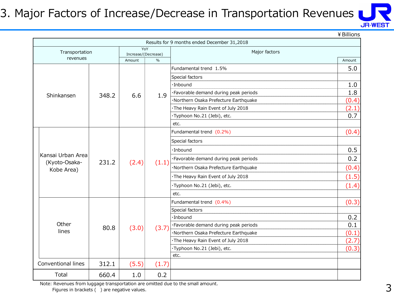#### 3. Major Factors of Increase/Decrease in Transportation Revenues



¥Billions

|                             |       |                     |               | Results for 9 months ended December 31,2018 |        |
|-----------------------------|-------|---------------------|---------------|---------------------------------------------|--------|
| Transportation              |       | Increase/(Decrease) | YoY           | Major factors                               |        |
| revenues                    |       | Amount              | $\frac{0}{0}$ |                                             | Amount |
|                             |       |                     |               | Fundamental trend 1.5%                      | 5.0    |
|                             |       |                     |               | Special factors                             |        |
|                             |       |                     |               | ·Inbound                                    | 1.0    |
| Shinkansen                  | 348.2 | 6.6                 | 1.9           | ·Favorable demand during peak periods       | 1.8    |
|                             |       |                     |               | ·Northern Osaka Prefecture Earthquake       | (0.4)  |
|                             |       |                     |               | · The Heavy Rain Event of July 2018         | (2.1)  |
|                             |       |                     |               | ·Typhoon No.21 (Jebi), etc.                 | 0.7    |
|                             |       |                     |               | etc.                                        |        |
|                             |       |                     |               | Fundamental trend (0.2%)                    | (0.4)  |
|                             |       |                     |               | Special factors                             |        |
|                             |       |                     |               | $\cdot$ Inbound                             | 0.5    |
| Kansai Urban Area           |       |                     |               | ·Favorable demand during peak periods       | 0.2    |
| (Kyoto-Osaka-<br>Kobe Area) | 231.2 | (2.4)               | (1.1)         | ·Northern Osaka Prefecture Earthquake       | (0.4)  |
|                             |       |                     |               | The Heavy Rain Event of July 2018           | (1.5)  |
|                             |       |                     |               | ·Typhoon No.21 (Jebi), etc.                 | (1.4)  |
|                             |       |                     |               | etc.                                        |        |
|                             |       |                     |               | Fundamental trend (0.4%)                    | (0.3)  |
|                             |       |                     |               | Special factors                             |        |
|                             |       |                     |               | ·Inbound                                    | 0.2    |
| Other                       | 80.8  | (3.0)               | (3.7)         | ·Favorable demand during peak periods       | 0.1    |
| lines                       |       |                     |               | ·Northern Osaka Prefecture Earthquake       | (0.1)  |
|                             |       |                     |               | · The Heavy Rain Event of July 2018         | (2.7)  |
|                             |       |                     |               | ·Typhoon No.21 (Jebi), etc.                 | (0.3)  |
|                             |       |                     |               | etc.                                        |        |
| Conventional lines          | 312.1 | (5.5)               | (1.7)         |                                             |        |
| Total                       | 660.4 | 1.0                 | 0.2           |                                             |        |

Note: Revenues from luggage transportation are omitted due to the small amount.

Figures in brackets ( ) are negative values.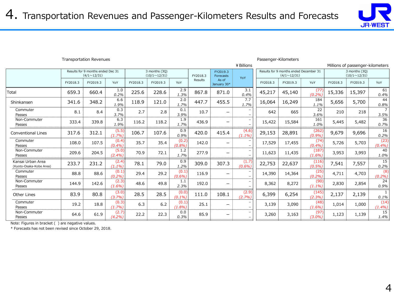

|                                              |          |                                                         |                    |          |                                      |                    |          |                              | ¥ Billions      |          |                                                              |                   |          | Millions of passenger-kilometers     |                |
|----------------------------------------------|----------|---------------------------------------------------------|--------------------|----------|--------------------------------------|--------------------|----------|------------------------------|-----------------|----------|--------------------------------------------------------------|-------------------|----------|--------------------------------------|----------------|
|                                              |          | Results for 9 months ended Dec 31<br>$(4/1 \sim 12/31)$ |                    |          | 3 months (3Q)<br>$(10/1 \sim 12/31)$ |                    | FY2018.3 | FY2019.3<br>Forecasts        | YoY             |          | Results for 9 months ended December 31<br>$(4/1 \sim 12/31)$ |                   |          | 3 months (3Q)<br>$(10/1 \sim 12/31)$ |                |
|                                              | FY2018.3 | FY2019.3                                                | YoY                | FY2018.3 | FY2019.3                             | YoY                | Results  | As of<br>January 30*         |                 | FY2018.3 | FY2019.3                                                     | YoY               | FY2018.3 | FY2019.3                             | YoY            |
| Total                                        | 659.3    | 660.4                                                   | 1.0<br>0.2%        | 225.6    | 228.6                                | 2.9<br>1.3%        | 867.8    | 871.0                        | 3.1<br>0.4%     | 45,217   | 45,140                                                       | (77)<br>(0.2%     | 15,336   | 15,397                               | 61<br>0.4%     |
| Shinkansen                                   | 341.6    | 348.2                                                   | 6.6<br>1.9%        | 118.9    | 121.0                                | 2.0<br>1.7%        | 447.7    | 455.5                        | 7.7<br>1.7%     | 16,064   | 16,249                                                       | 184<br>1.1%       | 5,656    | 5,700                                | 44<br>0.8%     |
| Commuter<br>Passes                           | 8.1      | 8.4                                                     | 0.3<br>3.7%        | 2.7      | 2.8                                  | 0.1<br>3.9%        | 10.7     | $\overline{\phantom{0}}$     |                 | 642      | 665                                                          | 22<br>3.6%        | 210      | 218                                  | 3.5%           |
| Non-Commuter<br>Passes                       | 333.4    | 339.8                                                   | 6.3<br>1.9%        | 116.2    | 118.2                                | 1.9<br>1.7%        | 436.9    | $\qquad \qquad \blacksquare$ |                 | 15,422   | 15,584                                                       | 161<br>1.0%       | 5,445    | 5,482                                | 36<br>0.7%     |
| <b>Conventional Lines</b>                    | 317.6    | 312.1                                                   | (5.5)<br>(1.7%     | 106.7    | 107.6                                | 0.9<br>0.9%        | 420.0    | 415.4                        | (4.6)<br>(1.1%  | 29,153   | 28,891                                                       | (262)<br>(0.9%    | 9,679    | 9,696                                | 16<br>0.2%     |
| Commuter<br>Passes                           | 108.0    | 107.5                                                   | (0.4)<br>(0.4%     | 35.7     | 35.4                                 | (0.2)<br>(0.8%     | 142.0    | -                            |                 | 17,529   | 17,455                                                       | (74)<br>(0.4%     | 5,726    | 5,703                                | (23)<br>(0.4%) |
| Non-Commuter<br>Passes                       | 209.6    | 204.5                                                   | (5.0)<br>(2.4%)    | 70.9     | 72.1                                 | 1.2<br>1.7%        | 277.9    | $\overline{\phantom{0}}$     |                 | 11,623   | 11,435                                                       | (187)<br>(1.6%)   | 3,953    | 3,993                                | 40<br>1.0%     |
| Kansai Urban Area<br>(Kyoto-Osaka-Kobe Area) | 233.7    | 231.2                                                   | (2.4)<br>$(1.1\%)$ | 78.1     | 79.0                                 | 0.9<br>1.2%        | 309.0    | 307.3                        | (1.7)<br>(0.6%) | 22,753   | 22,637                                                       | (116)<br>(0.5%    | 7,541    | 7,557                                | 15<br>0.2%     |
| Commuter<br>Passes                           | 88.8     | 88.6                                                    | (0.1)<br>(0.2%)    | 29.4     | 29.2                                 | (0.1)<br>(0.6%)    | 116.9    | $\overline{\phantom{0}}$     |                 | 14,390   | 14,364                                                       | (25)<br>(0.2%)    | 4,711    | 4,703                                | (8)<br>(0.2%)  |
| Non-Commuter<br>Passes                       | 144.9    | 142.6                                                   | (2.3)<br>(1.6%)    | 48.6     | 49.8                                 | 1.1<br>2.3%        | 192.0    | $\qquad \qquad \blacksquare$ |                 | 8,362    | 8,272                                                        | (90)<br>$(1.1\%)$ | 2,830    | 2,854                                | 24<br>0.9%     |
| Other Lines                                  | 83.9     | 80.8                                                    | (3.0)<br>(3.7%)    | 28.5     | 28.5                                 | (0.0)<br>$(0.1\%)$ | 111.0    | 108.1                        | (2.9)<br>(2.7%) | 6,399    | 6,254                                                        | (145)<br>(2.3%)   | 2,137    | 2,139                                | 0.1%           |
| Commuter<br>Passes                           | 19.2     | 18.8                                                    | (0.3)<br>(1.7%)    | 6.3      | 6.2                                  | (0.1)<br>(1.8%)    | 25.1     | $\overline{\phantom{0}}$     |                 | 3,139    | 3,090                                                        | (48)<br>(1.6%)    | 1,014    | 1,000                                | (14)<br>(1.4%) |
| Non-Commuter<br>Passes                       | 64.6     | 61.9                                                    | (2.7)<br>(4.2%)    | 22.2     | 22.3                                 | 0.0<br>0.3%        | 85.9     | -                            |                 | 3,260    | 3,163                                                        | (97)<br>(3.0%)    | 1,123    | 1,139                                | 15<br>1.4%     |

Transportation Revenues Passenger-Kilometers

Note: Figures in bracket ( ) are negative values.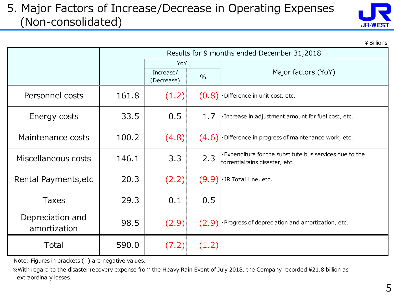#### 5. Major Factors of Increase/Decrease in Operating Expenses (Non-consolidated)

| <b>JR-WEST</b> |  |
|----------------|--|

¥Billions

|                                  |       |                         |               | Results for 9 months ended December 31,2018                                              |  |  |  |
|----------------------------------|-------|-------------------------|---------------|------------------------------------------------------------------------------------------|--|--|--|
|                                  |       | YoY                     |               |                                                                                          |  |  |  |
|                                  |       | Increase/<br>(Decrease) | $\frac{0}{0}$ | Major factors (YoY)                                                                      |  |  |  |
| Personnel costs                  | 161.8 | (1.2)                   | (0.8)         | ·Difference in unit cost, etc.                                                           |  |  |  |
| Energy costs                     | 33.5  | 0.5                     | 1.7           | · Increase in adjustment amount for fuel cost, etc.                                      |  |  |  |
| Maintenance costs                | 100.2 | (4.8)                   | (4.6)         | ·Difference in progress of maintenance work, etc.                                        |  |  |  |
| Miscellaneous costs              | 146.1 | 3.3                     | 2.3           | Expenditure for the substitute bus services due to the<br>torrentialrains disaster, etc. |  |  |  |
| Rental Payments, etc             | 20.3  | (2.2)                   | (9.9)         | · JR Tozai Line, etc.                                                                    |  |  |  |
| <b>Taxes</b>                     | 29.3  | 0.1                     | 0.5           |                                                                                          |  |  |  |
| Depreciation and<br>amortization | 98.5  | (2.9)                   |               | $(2.9)$ Progress of depreciation and amortization, etc.                                  |  |  |  |
| Total                            | 590.0 | (7.2)                   | (1.2)         |                                                                                          |  |  |  |

Note: Figures in brackets ( ) are negative values.

 ※With regard to the disaster recovery expense from the Heavy Rain Event of July 2018, the Company recorded \21.8 billion as extraordinary losses.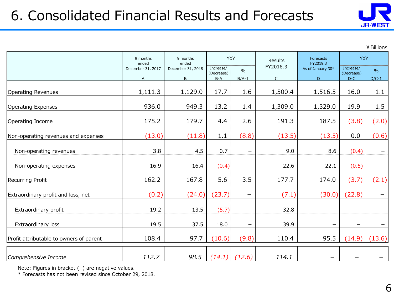### 6. Consolidated Financial Results and Forecasts



¥Billions

|                                         | 9 months               | 9 months<br>ended<br>ended |                                  | YoY                      | <b>Results</b>           | Forecasts<br>FY2019.3  | YoY                              |                          |
|-----------------------------------------|------------------------|----------------------------|----------------------------------|--------------------------|--------------------------|------------------------|----------------------------------|--------------------------|
|                                         | December 31, 2017<br>A | December 31, 2018<br>B     | Increase/<br>(Decrease)<br>$B-A$ | $\%$<br>$B/A-1$          | FY2018.3<br>$\mathsf{C}$ | As of January 30*<br>D | Increase/<br>(Decrease)<br>$D-C$ | $\frac{0}{0}$<br>$D/C-1$ |
| <b>Operating Revenues</b>               | 1,111.3                | 1,129.0                    | 17.7                             | 1.6                      | 1,500.4                  | 1,516.5                | 16.0                             | 1.1                      |
| <b>Operating Expenses</b>               | 936.0                  | 949.3                      | 13.2                             | 1.4                      | 1,309.0                  | 1,329.0                | 19.9                             | 1.5                      |
| Operating Income                        | 175.2                  | 179.7                      | 4.4                              | 2.6                      | 191.3                    | 187.5                  | (3.8)                            | (2.0)                    |
| Non-operating revenues and expenses     | (13.0)                 | (11.8)                     | 1.1                              | (8.8)                    | (13.5)                   | (13.5)                 | 0.0                              | (0.6)                    |
| Non-operating revenues                  | 3.8                    | 4.5                        | 0.7                              | $\qquad \qquad \qquad$   | 9.0                      | 8.6                    | (0.4)                            |                          |
| Non-operating expenses                  | 16.9                   | 16.4                       | (0.4)                            | $\qquad \qquad \qquad$   | 22.6                     | 22.1                   | (0.5)                            |                          |
| Recurring Profit                        | 162.2                  | 167.8                      | 5.6                              | 3.5                      | 177.7                    | 174.0                  | (3.7)                            | (2.1)                    |
| Extraordinary profit and loss, net      | (0.2)                  | (24.0)                     | (23.7)                           | $\equiv$                 | (7.1)                    | (30.0)                 | (22.8)                           |                          |
| Extraordinary profit                    | 19.2                   | 13.5                       | (5.7)                            | $\overline{\phantom{0}}$ | 32.8                     |                        |                                  |                          |
| Extraordinary loss                      | 19.5                   | 37.5                       | 18.0                             | —                        | 39.9                     |                        |                                  |                          |
| Profit attributable to owners of parent | 108.4                  | 97.7                       | (10.6)                           | (9.8)                    | 110.4                    | 95.5                   | (14.9)                           | (13.6)                   |
| Comprehensive Income                    | 112.7                  | 98.5                       | (14.1)                           | (12.6)                   | 114.1                    | —                      |                                  |                          |

Note: Figures in bracket ( ) are negative values.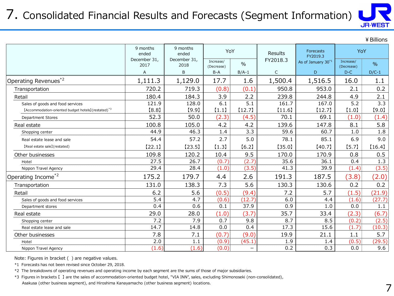#### 7. Consolidated Financial Results and Forecasts (Segment Information)



|                                                                 |                      |                      |                         |               |              |                                |                         | ¥ Billions |
|-----------------------------------------------------------------|----------------------|----------------------|-------------------------|---------------|--------------|--------------------------------|-------------------------|------------|
|                                                                 | 9 months<br>ended    | 9 months<br>ended    |                         | YoY           | Results      | <b>Forecasts</b><br>FY2019.3   | YoY                     |            |
|                                                                 | December 31,<br>2017 | December 31,<br>2018 | Increase/<br>(Decrease) | $\frac{0}{0}$ | FY2018.3     | As of January 30 <sup>*1</sup> | Increase/<br>(Decrease) | $\%$       |
|                                                                 | A                    | B                    | $B-A$                   | $B/A-1$       | $\mathsf{C}$ | D                              | $D-C$                   | $D/C-1$    |
| Operating Revenues <sup>*2</sup>                                | 1,111.3              | 1,129.0              | 17.7                    | 1.6           | 1,500.4      | 1,516.5                        | 16.0                    | 1.1        |
| Transportation                                                  | 720.2                | 719.3                | (0.8)                   | (0.1)         | 950.8        | 953.0                          | 2.1                     | 0.2        |
| Retail                                                          | 180.4                | 184.3                | 3.9                     | 2.2           | 239.8        | 244.8                          | 4.9                     | 2.1        |
| Sales of goods and food services                                | 121.9                | 128.0                | 6.1                     | 5.1           | 161.7        | 167.0                          | 5.2                     | 3.3        |
| [Accommodation-oriented budget hotels] (restated) <sup>*3</sup> | [8.8]                | [9.9]                | (1.1)                   | [12.7]        | [11.6]       | [12.7]                         | [1.0]                   | [9.0]      |
| <b>Department Stores</b>                                        | 52.3                 | 50.0                 | (2.3)                   | (4.5)         | 70.1         | 69.1                           | (1.0)                   | (1.4)      |
| Real estate                                                     | 100.8                | 105.0                | 4.2                     | 4.2           | 139.6        | 147.8                          | 8.1                     | 5.8        |
| Shopping center                                                 | 44.9                 | 46.3                 | 1.4                     | 3.3           | 59.6         | 60.7                           | 1.0                     | 1.8        |
| Real estate lease and sale                                      | 54.4                 | 57.2                 | 2.7                     | 5.0           | 78.1         | 85.1                           | 6.9                     | 9.0        |
| [Real estate sale] (restated)                                   | [22.1]               | [23.5]               | [1.3]                   | [6.2]         | [35.0]       | [40.7]                         | [5.7]                   | [16.4]     |
| Other businesses                                                | 109.8                | 120.2                | 10.4                    | 9.5           | 170.0        | 170.9                          | 0.8                     | 0.5        |
| Hotel                                                           | 27.5                 | 26.7                 | (0.7)                   | (2.7)         | 35.6         | 36.1                           | 0.4                     | 1.3        |
| Nippon Travel Agency                                            | 29.4                 | 28.4                 | (1.0)                   | (3.5)         | 41.3         | 39.9                           | (1.4)                   | (3.5)      |
| Operating Income <sup>*2</sup>                                  | 175.2                | 179.7                | 4.4                     | 2.6           | 191.3        | 187.5                          | (3.8)                   | (2.0)      |
| Transportation                                                  | 131.0                | 138.3                | 7.3                     | 5.6           | 130.3        | 130.6                          | 0.2                     | 0.2        |
| Retail                                                          | 6.2                  | 5.6                  | (0.5)                   | (9.4)         | 7.2          | 5.7                            | (1.5)                   | (21.9)     |
| Sales of goods and food services                                | 5.4                  | 4.7                  | (0.6)                   | (12.7)        | 6.0          | 4.4                            | (1.6)                   | (27.7)     |
| Department stores                                               | 0.4                  | 0.6                  | 0.1                     | 37.9          | 0.9          | 1.0                            | 0.0                     | 1.1        |
| Real estate                                                     | 29.0                 | 28.0                 | (1.0)                   | (3.7)         | 35.7         | 33.4                           | (2.3)                   | (6.7)      |
| Shopping center                                                 | 7.2                  | 7.9                  | 0.7                     | 9.8           | 8.7          | 8.5                            | (0.2)                   | (2.5)      |
| Real estate lease and sale                                      | 14.7                 | 14.8                 | 0.0                     | 0.4           | 17.3         | 15.6                           | (1.7)                   | (10.3)     |
| Other businesses                                                | 7.8                  | 7.1                  | (0.7)                   | (9.0)         | 19.9         | 21.1                           | 1.1                     | 5.7        |
| Hotel                                                           | 2.0                  | 1.1                  | (0.9)                   | (45.1)        | 1.9          | 1.4                            | (0.5)                   | (29.5)     |
| Nippon Travel Agency                                            | (1.6)                | (1.6)                | (0.0)                   | —             | 0.2          | 0.3                            | 0.0                     | 9.6        |

Note: Figures in bracket ( ) are negative values.

\*1 Forecasts has not been revised since October 29, 2018.

\*2 The breakdowns of operating revenues and operating income by each segment are the sums of those of major subsidiaries.

\*3 Figures in brackets 【 】 are the sales of accommodation-oriented budget hotel, "VIA INN", sales, excluding Shimonoseki (non-consolidated), Asakusa (other business segment), and Hiroshima Kanayamacho (other business segment) locations.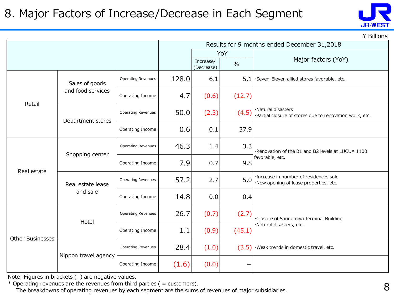#### 8. Major Factors of Increase/Decrease in Each Segment



 $\angle$  Billions

|                         |                      |                           |       | Results for 9 months ended December 31,2018 |               |                                                                                   |  |  |  |
|-------------------------|----------------------|---------------------------|-------|---------------------------------------------|---------------|-----------------------------------------------------------------------------------|--|--|--|
|                         |                      |                           |       |                                             | YoY           |                                                                                   |  |  |  |
|                         |                      |                           |       | Increase/<br>(Decrease)                     | $\frac{0}{0}$ | Major factors (YoY)                                                               |  |  |  |
|                         | Sales of goods       | <b>Operating Revenues</b> | 128.0 | 6.1                                         | 5.1           | ·Seven-Eleven allied stores favorable, etc.                                       |  |  |  |
| Retail                  | and food services    | Operating Income          | 4.7   | (0.6)                                       | (12.7)        |                                                                                   |  |  |  |
|                         | Department stores    | <b>Operating Revenues</b> | 50.0  | (2.3)                                       | (4.5)         | ·Natural disasters<br>·Partial closure of stores due to renovation work, etc.     |  |  |  |
|                         |                      | Operating Income          | 0.6   | 0.1                                         | 37.9          |                                                                                   |  |  |  |
|                         | Shopping center      | <b>Operating Revenues</b> | 46.3  | 1.4                                         | 3.3           | Renovation of the B1 and B2 levels at LUCUA 1100                                  |  |  |  |
| Real estate             |                      | Operating Income          | 7.9   | 0.7                                         | 9.8           | favorable, etc.                                                                   |  |  |  |
|                         | Real estate lease    | <b>Operating Revenues</b> | 57.2  | 2.7                                         | 5.0           | · Increase in number of residences sold<br>·New opening of lease properties, etc. |  |  |  |
|                         | and sale             | Operating Income          | 14.8  | 0.0                                         | 0.4           |                                                                                   |  |  |  |
|                         | Hotel                | <b>Operating Revenues</b> | 26.7  | (0.7)                                       | (2.7)         | ·Closure of Sannomiya Terminal Building                                           |  |  |  |
| <b>Other Businesses</b> |                      | Operating Income          | 1.1   | (0.9)                                       | (45.1)        | ·Natural disasters, etc.                                                          |  |  |  |
|                         | Nippon travel agency | <b>Operating Revenues</b> | 28.4  | (1.0)                                       | (3.5)         | ·Weak trends in domestic travel, etc.                                             |  |  |  |
|                         |                      | Operating Income          | (1.6) | (0.0)                                       |               |                                                                                   |  |  |  |

Note: Figures in brackets ( ) are negative values.

 $*$  Operating revenues are the revenues from third parties ( = customers).

The breakdowns of operating revenues by each segment are the sums of revenues of major subsidiaries.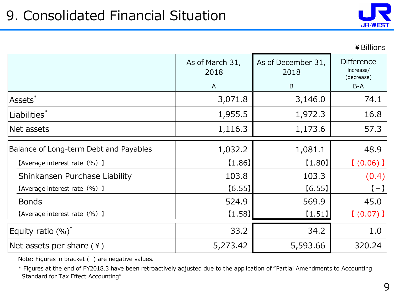

|                                        | As of March 31,<br>2018<br>$\mathsf{A}$ | As of December 31,<br>2018<br>B | <b>Difference</b><br>increase/<br>(decrease)<br>$B-A$ |
|----------------------------------------|-----------------------------------------|---------------------------------|-------------------------------------------------------|
| <b>Assets</b>                          | 3,071.8                                 | 3,146.0                         | 74.1                                                  |
| Liabilities <sup>*</sup>               | 1,955.5                                 | 1,972.3                         | 16.8                                                  |
| Net assets                             | 1,116.3                                 | 1,173.6                         | 57.3                                                  |
| Balance of Long-term Debt and Payables | 1,032.2                                 | 1,081.1                         | 48.9                                                  |
| [Average interest rate (%) ]           | [1.86]                                  | [1.80]                          | [ (0.06) ]                                            |
| Shinkansen Purchase Liability          | 103.8                                   | 103.3                           | (0.4)                                                 |
| [Average interest rate (%) ]           | [6.55]                                  | [6.55]                          | $(-)$                                                 |
| <b>Bonds</b>                           | 524.9                                   | 569.9                           | 45.0                                                  |
| [Average interest rate (%) ]           | $[1.58]$                                | [1.51]                          | [ (0.07) ]                                            |
| Equity ratio $(\%)^*$                  | 33.2                                    | 34.2                            | 1.0                                                   |
| Net assets per share (\ine             | 5,273.42                                | 5,593.66                        | 320.24                                                |

Note: Figures in bracket () are negative values.

\* Figures at the end of FY2018.3 have been retroactively adjusted due to the application of "Partial Amendments to Accounting Standard for Tax Effect Accounting"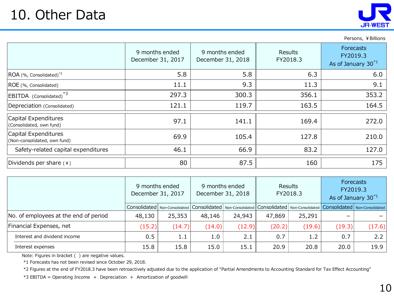### 10. Other Data

| Persons, | ¥ Billions |
|----------|------------|
|----------|------------|

|                                                      | 9 months ended<br>December 31, 2017 | 9 months ended<br>December 31, 2018 | <b>Results</b><br>FY2018.3 | <b>Forecasts</b><br>FY2019.3<br>As of January 30 <sup>*1</sup> |
|------------------------------------------------------|-------------------------------------|-------------------------------------|----------------------------|----------------------------------------------------------------|
| ROA (%, Consolidated) <sup>*2</sup>                  | 5.8                                 | 5.8                                 | 6.3                        | 6.0                                                            |
| ROE (%, Consolidated)                                | 11.1                                | 9.3                                 | 11.3                       | 9.1                                                            |
| EBITDA (Consolidated)                                | 297.3                               | 300.3                               | 356.1                      | 353.2                                                          |
| Depreciation (Consolidated)                          | 121.1                               | 119.7                               | 163.5                      | 164.5                                                          |
| Capital Expenditures<br>(Consolidated, own fund)     | 97.1                                | 141.1                               | 169.4                      | 272.0                                                          |
| Capital Expenditures<br>(Non-consolidated, own fund) | 69.9                                | 105.4                               | 127.8                      | 210.0                                                          |
| Safety-related capital expenditures                  | 46.1                                | 66.9                                | 83.2                       | 127.0                                                          |
| Dividends per share $(*)$                            | 80                                  | 87.5                                | 160                        | 175                                                            |

|                                       | 9 months ended<br>December 31, 2017 |        | 9 months ended<br>December 31, 2018 |                                                                                                                                                                                                                                | <b>Results</b><br>FY2018.3 |        | <b>Forecasts</b><br>FY2019.3<br>As of January 30 <sup>*1</sup> |        |
|---------------------------------------|-------------------------------------|--------|-------------------------------------|--------------------------------------------------------------------------------------------------------------------------------------------------------------------------------------------------------------------------------|----------------------------|--------|----------------------------------------------------------------|--------|
|                                       |                                     |        |                                     | Consolidated   Non-Consolidated   Consolidated   Non-Consolidated   Consolidated   Non-Consolidated   Consolidated   Non-Consolidated   Non-Consolidated   Non-Consolidated   Non-Consolidated   Non-Consolidated   Non-Consol |                            |        |                                                                |        |
| No. of employees at the end of period | 48,130                              | 25,353 | 48,146                              | 24,943                                                                                                                                                                                                                         | 47,869                     | 25,291 |                                                                |        |
| Financial Expenses, net               | (15.2)                              | (14.7) | (14.0)                              | (12.9)                                                                                                                                                                                                                         | (20.2)                     | (19.6) | (19.3)                                                         | (17.6) |
| Interest and dividend income          | 0.5                                 | 1.1    | 1.0                                 | 2.1                                                                                                                                                                                                                            | 0.7                        | 1.2    | 0.7                                                            | 2.2    |
| Interest expenses                     | 15.8                                | 15.8   | 15.0                                | 15.1                                                                                                                                                                                                                           | 20.9                       | 20.8   | 20.0                                                           | 19.9   |

Note: Figures in bracket ( ) are negative values.

\*1 Forecasts has not been revised since October 29, 2018.

\*2 Figures at the end of FY2018.3 have been retroactively adjusted due to the application of "Partial Amendments to Accounting Standard for Tax Effect Accounting"

\*3 EBITDA = Operating Income + Depreciation + Amortization of goodwill